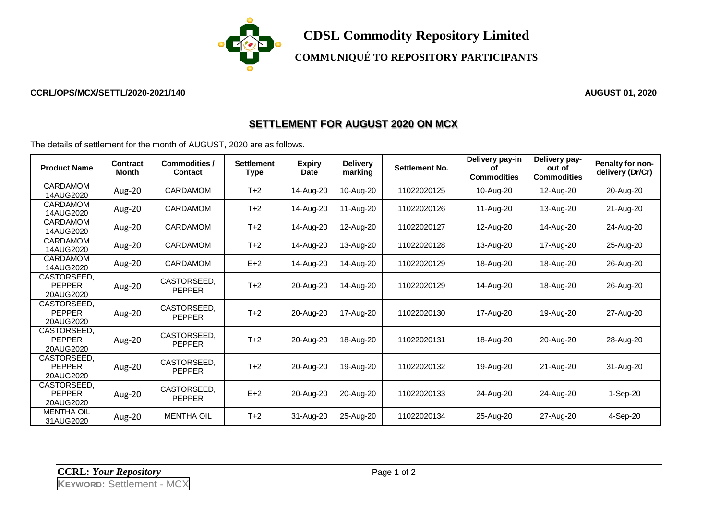

**COMMUNIQUÉ TO REPOSITORY PARTICIPANTS**

## **CCRL/OPS/MCX/SETTL/2020-2021/140 AUGUST 01, 2020**

## **SETTLEMENT FOR AUGUST 2020 ON MCX**

The details of settlement for the month of AUGUST, 2020 are as follows.

| <b>Product Name</b>                       | Contract<br><b>Month</b> | Commodities /<br><b>Contact</b> | <b>Settlement</b><br><b>Type</b> | <b>Expiry</b><br>Date | <b>Delivery</b><br>marking | Settlement No. | Delivery pay-in<br>οf<br><b>Commodities</b> | Delivery pay-<br>out of<br><b>Commodities</b> | Penalty for non-<br>delivery (Dr/Cr) |
|-------------------------------------------|--------------------------|---------------------------------|----------------------------------|-----------------------|----------------------------|----------------|---------------------------------------------|-----------------------------------------------|--------------------------------------|
| CARDAMOM<br>14AUG2020                     | Aug-20                   | <b>CARDAMOM</b>                 | $T+2$                            | 14-Aug-20             | 10-Aug-20                  | 11022020125    | 10-Aug-20                                   | 12-Aug-20                                     | 20-Aug-20                            |
| CARDAMOM<br>14AUG2020                     | Aug-20                   | <b>CARDAMOM</b>                 | $T+2$                            | 14-Aug-20             | 11-Aug-20                  | 11022020126    | 11-Aug-20                                   | 13-Aug-20                                     | 21-Aug-20                            |
| CARDAMOM<br>14AUG2020                     | Aug-20                   | <b>CARDAMOM</b>                 | $T+2$                            | 14-Aug-20             | 12-Aug-20                  | 11022020127    | 12-Aug-20                                   | 14-Aug-20                                     | 24-Aug-20                            |
| CARDAMOM<br>14AUG2020                     | Aug-20                   | CARDAMOM                        | $T+2$                            | 14-Aug-20             | 13-Aug-20                  | 11022020128    | 13-Aug-20                                   | 17-Aug-20                                     | 25-Aug-20                            |
| CARDAMOM<br>14AUG2020                     | Aug-20                   | <b>CARDAMOM</b>                 | $E+2$                            | 14-Aug-20             | 14-Aug-20                  | 11022020129    | 18-Aug-20                                   | 18-Aug-20                                     | 26-Aug-20                            |
| CASTORSEED,<br><b>PEPPER</b><br>20AUG2020 | Aug-20                   | CASTORSEED.<br><b>PEPPER</b>    | $T+2$                            | 20-Aug-20             | 14-Aug-20                  | 11022020129    | 14-Aug-20                                   | 18-Aug-20                                     | 26-Aug-20                            |
| CASTORSEED.<br><b>PEPPER</b><br>20AUG2020 | Aug-20                   | CASTORSEED,<br><b>PEPPER</b>    | $T+2$                            | 20-Aug-20             | 17-Aug-20                  | 11022020130    | 17-Aug-20                                   | 19-Aug-20                                     | 27-Aug-20                            |
| CASTORSEED.<br><b>PEPPER</b><br>20AUG2020 | Aug-20                   | CASTORSEED.<br><b>PEPPER</b>    | $T+2$                            | 20-Aug-20             | 18-Aug-20                  | 11022020131    | 18-Aug-20                                   | 20-Aug-20                                     | 28-Aug-20                            |
| CASTORSEED.<br><b>PEPPER</b><br>20AUG2020 | Aug-20                   | CASTORSEED.<br><b>PEPPER</b>    | $T+2$                            | 20-Aug-20             | 19-Aug-20                  | 11022020132    | 19-Aug-20                                   | 21-Aug-20                                     | 31-Aug-20                            |
| CASTORSEED.<br><b>PEPPER</b><br>20AUG2020 | Aug-20                   | CASTORSEED.<br><b>PEPPER</b>    | $E+2$                            | 20-Aug-20             | 20-Aug-20                  | 11022020133    | 24-Aug-20                                   | 24-Aug-20                                     | 1-Sep-20                             |
| <b>MENTHA OIL</b><br>31AUG2020            | Aug-20                   | <b>MENTHA OIL</b>               | $T+2$                            | 31-Aug-20             | 25-Aug-20                  | 11022020134    | 25-Aug-20                                   | 27-Aug-20                                     | 4-Sep-20                             |